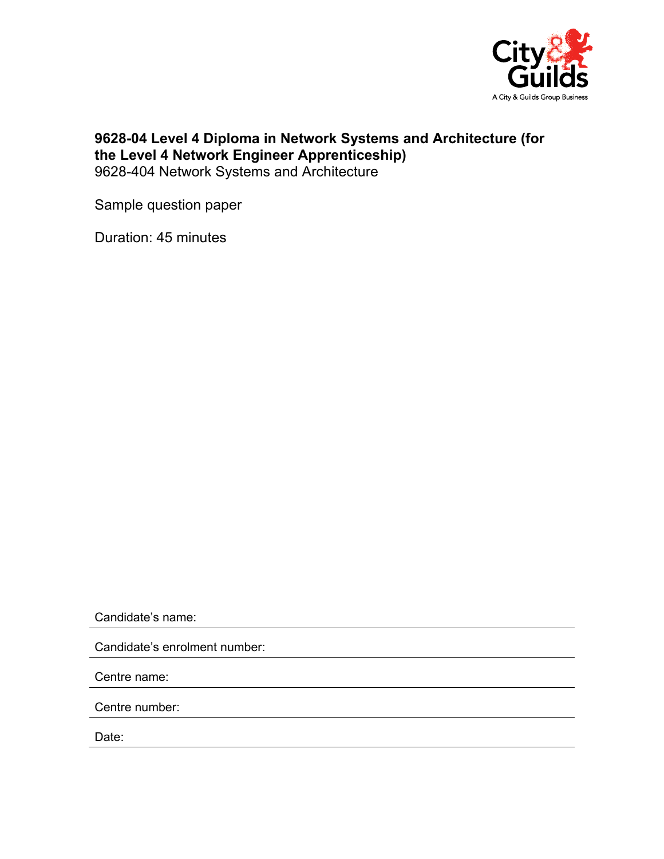

## **9628-04 Level 4 Diploma in Network Systems and Architecture (for the Level 4 Network Engineer Apprenticeship)**  9628-404 Network Systems and Architecture

Sample question paper

Duration: 45 minutes

Candidate's name:

Candidate's enrolment number:

Centre name:

Centre number:

Date: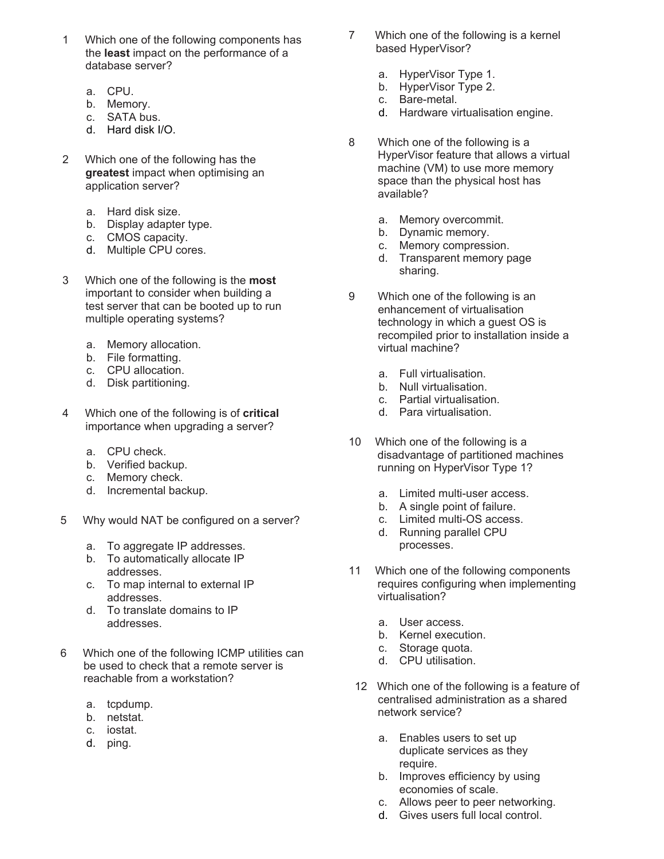- 1 Which one of the following components has the **least** impact on the performance of a database server?
	- a. CPU.
	- b. Memory.
	- c. SATA bus.
	- d. Hard disk I/O.
- 2 Which one of the following has the **greatest** impact when optimising an application server?
	- a. Hard disk size.
	- b. Display adapter type.
	- c. CMOS capacity.
	- d. Multiple CPU cores.
- 3 Which one of the following is the **most** important to consider when building a test server that can be booted up to run multiple operating systems?
	- a. Memory allocation.
	- b. File formatting.
	- c. CPU allocation.
	- d. Disk partitioning.
- 4 Which one of the following is of **critical** importance when upgrading a server?
	- a. CPU check.
	- b. Verified backup.
	- c. Memory check.
	- d. Incremental backup.
- 5 Why would NAT be configured on a server?
	- a. To aggregate IP addresses.
	- b. To automatically allocate IP addresses.
	- c. To map internal to external IP addresses.
	- d. To translate domains to IP addresses.
- 6 Which one of the following ICMP utilities can be used to check that a remote server is reachable from a workstation?
	- a. tcpdump.
	- b. netstat.
	- c. iostat.
	- d. ping.
- 7 Which one of the following is a kernel based HyperVisor?
	- a. HyperVisor Type 1.
	- b. HyperVisor Type 2.
	- c. Bare-metal.
	- d. Hardware virtualisation engine.
- 8 Which one of the following is a HyperVisor feature that allows a virtual machine (VM) to use more memory space than the physical host has available?
	- a. Memory overcommit.
	- b. Dynamic memory.
	- c. Memory compression.
	- d. Transparent memory page sharing.
- 9 Which one of the following is an enhancement of virtualisation technology in which a guest OS is recompiled prior to installation inside a virtual machine?
	- a. Full virtualisation.
	- b. Null virtualisation.
	- c. Partial virtualisation.
	- d. Para virtualisation.
- 10 Which one of the following is a disadvantage of partitioned machines running on HyperVisor Type 1?
	- a. Limited multi-user access.
	- b. A single point of failure.
	- c. Limited multi-OS access.
	- d. Running parallel CPU processes.
- 11 Which one of the following components requires configuring when implementing virtualisation?
	- a. User access.
	- b. Kernel execution.
	- c. Storage quota.
	- d. CPU utilisation.
- 12 Which one of the following is a feature of centralised administration as a shared network service?
	- a. Enables users to set up duplicate services as they require.
	- b. Improves efficiency by using economies of scale.
	- c. Allows peer to peer networking.
	- d. Gives users full local control.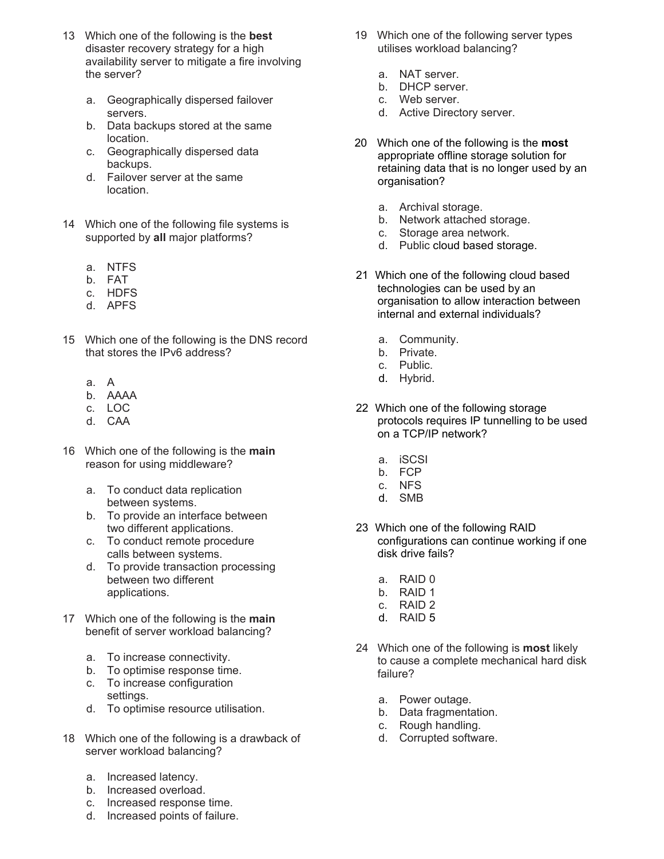- 13 Which one of the following is the **best** disaster recovery strategy for a high availability server to mitigate a fire involving the server?
	- a. Geographically dispersed failover servers.
	- b. Data backups stored at the same location.
	- c. Geographically dispersed data backups.
	- d. Failover server at the same location.
- 14 Which one of the following file systems is supported by **all** major platforms?
	- a. NTFS
	- b. FAT
	- c. HDFS
	- d. APFS
- 15 Which one of the following is the DNS record that stores the IPv6 address?
	- a. A
	- b. AAAA
	- c. LOC
	- d. CAA
- 16 Which one of the following is the **main** reason for using middleware?
	- a. To conduct data replication between systems.
	- b. To provide an interface between two different applications.
	- c. To conduct remote procedure calls between systems.
	- d. To provide transaction processing between two different applications.
- 17 Which one of the following is the **main** benefit of server workload balancing?
	- a. To increase connectivity.
	- b. To optimise response time.
	- c. To increase configuration settings.
	- d. To optimise resource utilisation.
- 18 Which one of the following is a drawback of server workload balancing?
	- a. Increased latency.
	- b. Increased overload.
	- c. Increased response time.
	- d. Increased points of failure.
- 19 Which one of the following server types utilises workload balancing?
	- a. NAT server.
	- b. DHCP server.
	- c. Web server.
	- d. Active Directory server.
- 20 Which one of the following is the **most** appropriate offline storage solution for retaining data that is no longer used by an organisation?
	- a. Archival storage.
	- b. Network attached storage.
	- c. Storage area network.
	- d. Public cloud based storage.
- 21 Which one of the following cloud based technologies can be used by an organisation to allow interaction between internal and external individuals?
	- a. Community.
	- b. Private.
	- c. Public.
	- d. Hybrid.
- 22 Which one of the following storage protocols requires IP tunnelling to be used on a TCP/IP network?
	- a. iSCSI
	- b. FCP
	- c. NFS
	- d. SMB
- 23 Which one of the following RAID configurations can continue working if one disk drive fails?
	- a. RAID 0
	- b. RAID 1
	- c. RAID 2
	- d. RAID 5
- 24 Which one of the following is **most** likely to cause a complete mechanical hard disk failure?
	- a. Power outage.
	- b. Data fragmentation.
	- c. Rough handling.
	- d. Corrupted software.